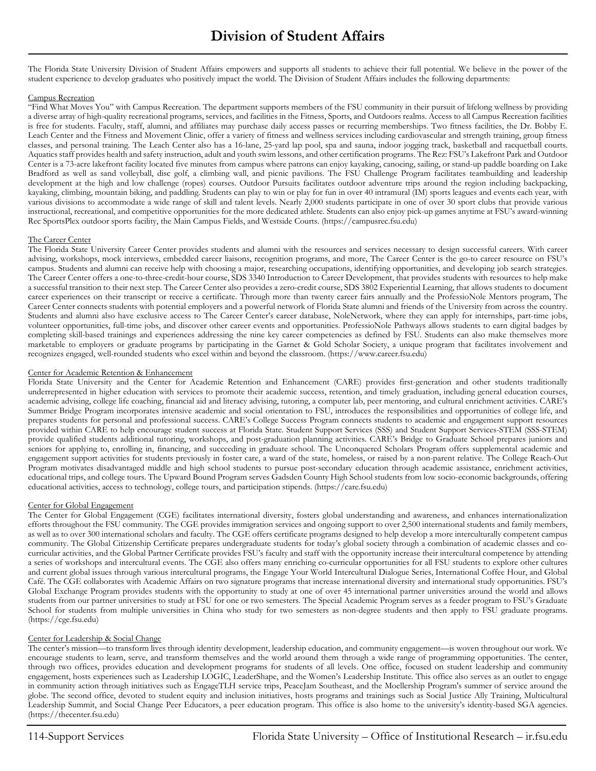The Florida State University Division of Student Affairs empowers and supports all students to achieve their full potential. We believe in the power of the student experience to develop graduates who positively impact the world. The Division of Student Affairs includes the following departments:

## Campus Recreation

"Find What Moves You" with Campus Recreation. The department supports members of the FSU community in their pursuit of lifelong wellness by providing a diverse array of high-quality recreational programs, services, and facilities in the Fitness, Sports, and Outdoors realms. Access to all Campus Recreation facilities is free for students. Faculty, staff, alumni, and affiliates may purchase daily access passes or recurring memberships. Two fitness facilities, the Dr. Bobby E. Leach Center and the Fitness and Movement Clinic, offer a variety of fitness and wellness services including cardiovascular and strength training, group fitness classes, and personal training. The Leach Center also has a 16-lane, 25-yard lap pool, spa and sauna, indoor jogging track, basketball and racquetball courts. Aquatics staff provides health and safety instruction, adult and youth swim lessons, and other certification programs. The Rez: FSU's Lakefront Park and Outdoor Center is a 73-acre lakefront facility located five minutes from campus where patrons can enjoy kayaking, canoeing, sailing, or stand-up paddle boarding on Lake Bradford as well as sand volleyball, disc golf, a climbing wall, and picnic pavilions. The FSU Challenge Program facilitates teambuilding and leadership development at the high and low challenge (ropes) courses. Outdoor Pursuits facilitates outdoor adventure trips around the region including backpacking, kayaking, climbing, mountain biking, and paddling. Students can play to win or play for fun in over 40 intramural (IM) sports leagues and events each year, with various divisions to accommodate a wide range of skill and talent levels. Nearly 2,000 students participate in one of over 30 sport clubs that provide various instructional, recreational, and competitive opportunities for the more dedicated athlete. Students can also enjoy pick-up games anytime at FSU's award-winning Rec SportsPlex outdoor sports facility, the Main Campus Fields, and Westside Courts. (https://campusrec.fsu.edu)

### The Career Center

The Florida State University Career Center provides students and alumni with the resources and services necessary to design successful careers. With career advising, workshops, mock interviews, embedded career liaisons, recognition programs, and more, The Career Center is the go-to career resource on FSU's campus. Students and alumni can receive help with choosing a major, researching occupations, identifying opportunities, and developing job search strategies. The Career Center offers a one-to-three-credit-hour course, SDS 3340 Introduction to Career Development, that provides students with resources to help make a successful transition to their next step. The Career Center also provides a zero-credit course, SDS 3802 Experiential Learning, that allows students to document career experiences on their transcript or receive a certificate. Through more than twenty career fairs annually and the ProfessioNole Mentors program, The Career Center connects students with potential employers and a powerful network of Florida State alumni and friends of the University from across the country. Students and alumni also have exclusive access to The Career Center's career database, NoleNetwork, where they can apply for internships, part-time jobs, volunteer opportunities, full-time jobs, and discover other career events and opportunities. ProfessioNole Pathways allows students to earn digital badges by completing skill-based trainings and experiences addressing the nine key career competencies as defined by FSU. Students can also make themselves more marketable to employers or graduate programs by participating in the Garnet & Gold Scholar Society, a unique program that facilitates involvement and recognizes engaged, well-rounded students who excel within and beyond the classroom. (https://www.career.fsu.edu)

### Center for Academic Retention & Enhancement

Florida State University and the Center for Academic Retention and Enhancement (CARE) provides first-generation and other students traditionally underrepresented in higher education with services to promote their academic success, retention, and timely graduation, including general education courses, academic advising, college life coaching, financial aid and literacy advising, tutoring, a computer lab, peer mentoring, and cultural enrichment activities. CARE's Summer Bridge Program incorporates intensive academic and social orientation to FSU, introduces the responsibilities and opportunities of college life, and prepares students for personal and professional success. CARE's College Success Program connects students to academic and engagement support resources provided within CARE to help encourage student success at Florida State. Student Support Services (SSS) and Student Support Services-STEM (SSS-STEM) provide qualified students additional tutoring, workshops, and post-graduation planning activities. CARE's Bridge to Graduate School prepares juniors and seniors for applying to, enrolling in, financing, and succeeding in graduate school. The Unconquered Scholars Program offers supplemental academic and engagement support activities for students previously in foster care, a ward of the state, homeless, or raised by a non-parent relative. The College Reach-Out Program motivates disadvantaged middle and high school students to pursue post-secondary education through academic assistance, enrichment activities, educational trips, and college tours. The Upward Bound Program serves Gadsden County High School students from low socio-economic backgrounds, offering educational activities, access to technology, college tours, and participation stipends. (https://care.fsu.edu)

### Center for Global Engagement

The Center for Global Engagement (CGE) facilitates international diversity, fosters global understanding and awareness, and enhances internationalization efforts throughout the FSU community. The CGE provides immigration services and ongoing support to over 2,500 international students and family members, as well as to over 300 international scholars and faculty. The CGE offers certificate programs designed to help develop a more interculturally competent campus community. The Global Citizenship Certificate prepares undergraduate students for today's global society through a combination of academic classes and cocurricular activities, and the Global Partner Certificate provides FSU's faculty and staff with the opportunity increase their intercultural competence by attending a series of workshops and intercultural events. The CGE also offers many enriching co-curricular opportunities for all FSU students to explore other cultures and current global issues through various intercultural programs, the Engage Your World Intercultural Dialogue Series, International Coffee Hour, and Global Café. The CGE collaborates with Academic Affairs on two signature programs that increase international diversity and international study opportunities. FSU's Global Exchange Program provides students with the opportunity to study at one of over 45 international partner universities around the world and allows students from our partner universities to study at FSU for one or two semesters. The Special Academic Program serves as a feeder program to FSU's Graduate School for students from multiple universities in China who study for two semesters as non-degree students and then apply to FSU graduate programs. (https://cge.fsu.edu)

# Center for Leadership & Social Change

The center's mission—to transform lives through identity development, leadership education, and community engagement—is woven throughout our work. We encourage students to learn, serve, and transform themselves and the world around them through a wide range of programming opportunities. The center, through two offices, provides education and development programs for students of all levels. One office, focused on student leadership and community engagement, hosts experiences such as Leadership LOGIC, LeaderShape, and the Women's Leadership Institute. This office also serves as an outlet to engage in community action through initiatives such as EngageTLH service trips, PeaceJam Southeast, and the Moellership Program's summer of service around the globe. The second office, devoted to student equity and inclusion initiatives, hosts programs and trainings such as Social Justice Ally Training, Multicultural Leadership Summit, and Social Change Peer Educators, a peer education program. This office is also home to the university's identity-based SGA agencies. (https://thecenter.fsu.edu)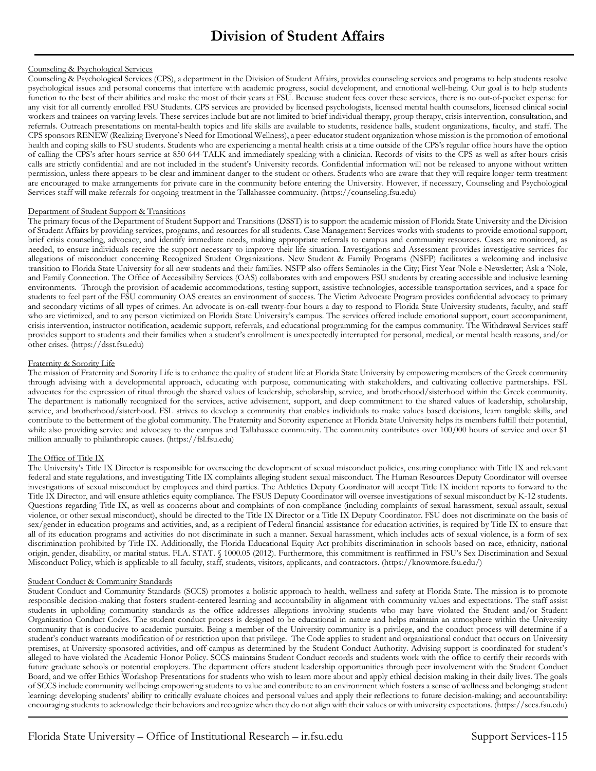# Counseling & Psychological Services

Counseling & Psychological Services (CPS), a department in the Division of Student Affairs, provides counseling services and programs to help students resolve psychological issues and personal concerns that interfere with academic progress, social development, and emotional well-being. Our goal is to help students function to the best of their abilities and make the most of their years at FSU. Because student fees cover these services, there is no out-of-pocket expense for any visit for all currently enrolled FSU Students. CPS services are provided by licensed psychologists, licensed mental health counselors, licensed clinical social workers and trainees on varying levels. These services include but are not limited to brief individual therapy, group therapy, crisis intervention, consultation, and referrals. Outreach presentations on mental-health topics and life skills are available to students, residence halls, student organizations, faculty, and staff. The CPS sponsors RENEW (Realizing Everyone's Need for Emotional Wellness), a peer-educator student organization whose mission is the promotion of emotional health and coping skills to FSU students. Students who are experiencing a mental health crisis at a time outside of the CPS's regular office hours have the option of calling the CPS's after-hours service at 850-644-TALK and immediately speaking with a clinician. Records of visits to the CPS as well as after-hours crisis calls are strictly confidential and are not included in the student's University records. Confidential information will not be released to anyone without written permission, unless there appears to be clear and imminent danger to the student or others. Students who are aware that they will require longer-term treatment are encouraged to make arrangements for private care in the community before entering the University. However, if necessary, Counseling and Psychological Services staff will make referrals for ongoing treatment in the Tallahassee community. (https://counseling.fsu.edu)

### Department of Student Support & Transitions

The primary focus of the Department of Student Support and Transitions (DSST) is to support the academic mission of Florida State University and the Division of Student Affairs by providing services, programs, and resources for all students. Case Management Services works with students to provide emotional support, brief crisis counseling, advocacy, and identify immediate needs, making appropriate referrals to campus and community resources. Cases are monitored, as needed, to ensure individuals receive the support necessary to improve their life situation. Investigations and Assessment provides investigative services for allegations of misconduct concerning Recognized Student Organizations. New Student & Family Programs (NSFP) facilitates a welcoming and inclusive transition to Florida State University for all new students and their families. NSFP also offers Seminoles in the City; First Year 'Nole e-Newsletter; Ask a 'Nole, and Family Connection. The Office of Accessibility Services (OAS) collaborates with and empowers FSU students by creating accessible and inclusive learning environments. Through the provision of academic accommodations, testing support, assistive technologies, accessible transportation services, and a space for students to feel part of the FSU community OAS creates an environment of success. The Victim Advocate Program provides confidential advocacy to primary and secondary victims of all types of crimes. An advocate is on-call twenty-four hours a day to respond to Florida State University students, faculty, and staff who are victimized, and to any person victimized on Florida State University's campus. The services offered include emotional support, court accompaniment, crisis intervention, instructor notification, academic support, referrals, and educational programming for the campus community. The Withdrawal Services staff provides support to students and their families when a student's enrollment is unexpectedly interrupted for personal, medical, or mental health reasons, and/or other crises. (https://dsst.fsu.edu)

### Fraternity & Sorority Life

The mission of Fraternity and Sorority Life is to enhance the quality of student life at Florida State University by empowering members of the Greek community through advising with a developmental approach, educating with purpose, communicating with stakeholders, and cultivating collective partnerships. FSL advocates for the expression of ritual through the shared values of leadership, scholarship, service, and brotherhood/sisterhood within the Greek community. The department is nationally recognized for the services, active advisement, support, and deep commitment to the shared values of leadership, scholarship, service, and brotherhood/sisterhood. FSL strives to develop a community that enables individuals to make values based decisions, learn tangible skills, and contribute to the betterment of the global community. The Fraternity and Sorority experience at Florida State University helps its members fulfill their potential, while also providing service and advocacy to the campus and Tallahassee community. The community contributes over 100,000 hours of service and over \$1 million annually to philanthropic causes. (https://fsl.fsu.edu)

### The Office of Title IX

The University's Title IX Director is responsible for overseeing the development of sexual misconduct policies, ensuring compliance with Title IX and relevant federal and state regulations, and investigating Title IX complaints alleging student sexual misconduct. The Human Resources Deputy Coordinator will oversee investigations of sexual misconduct by employees and third parties. The Athletics Deputy Coordinator will accept Title IX incident reports to forward to the Title IX Director, and will ensure athletics equity compliance. The FSUS Deputy Coordinator will oversee investigations of sexual misconduct by K-12 students. Questions regarding Title IX, as well as concerns about and complaints of non-compliance (including complaints of sexual harassment, sexual assault, sexual violence, or other sexual misconduct), should be directed to the Title IX Director or a Title IX Deputy Coordinator. FSU does not discriminate on the basis of sex/gender in education programs and activities, and, as a recipient of Federal financial assistance for education activities, is required by Title IX to ensure that all of its education programs and activities do not discriminate in such a manner. Sexual harassment, which includes acts of sexual violence, is a form of sex discrimination prohibited by Title IX. Additionally, the Florida Educational Equity Act prohibits discrimination in schools based on race, ethnicity, national origin, gender, disability, or marital status. FLA. STAT. § 1000.05 (2012). Furthermore, this commitment is reaffirmed in FSU's Sex Discrimination and Sexual Misconduct Policy, which is applicable to all faculty, staff, students, visitors, applicants, and contractors. (https://knowmore.fsu.edu/)

### **Student Conduct & Community Standards**

Student Conduct and Community Standards (SCCS) promotes a holistic approach to health, wellness and safety at Florida State. The mission is to promote responsible decision-making that fosters student-centered learning and accountability in alignment with community values and expectations. The staff assist students in upholding community standards as the office addresses allegations involving students who may have violated the Student and/or Student Organization Conduct Codes. The student conduct process is designed to be educational in nature and helps maintain an atmosphere within the University community that is conducive to academic pursuits. Being a member of the University community is a privilege, and the conduct process will determine if a student's conduct warrants modification of or restriction upon that privilege. The Code applies to student and organizational conduct that occurs on University premises, at University-sponsored activities, and off-campus as determined by the Student Conduct Authority. Advising support is coordinated for student's alleged to have violated the Academic Honor Policy. SCCS maintains Student Conduct records and students work with the office to certify their records with future graduate schools or potential employers. The department offers student leadership opportunities through peer involvement with the Student Conduct Board, and we offer Ethics Workshop Presentations for students who wish to learn more about and apply ethical decision making in their daily lives. The goals of SCCS include community wellbeing: empowering students to value and contribute to an environment which fosters a sense of wellness and belonging; student learning: developing students' ability to critically evaluate choices and personal values and apply their reflections to future decision-making; and accountability: encouraging students to acknowledge their behaviors and recognize when they do not align with their values or with university expectations. (https://sccs.fsu.edu)